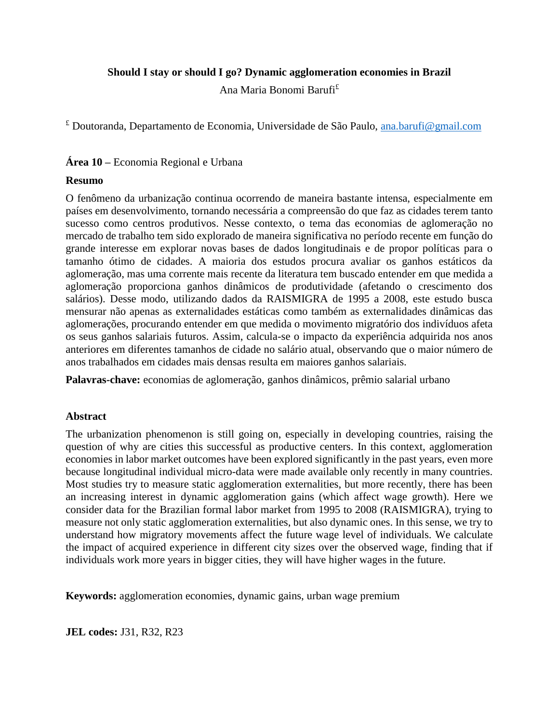## **Should I stay or should I go? Dynamic agglomeration economies in Brazil**

Ana Maria Bonomi Barufi £

 $E$  Doutoranda, Departamento de Economia, Universidade de São Paulo, [ana.barufi@gmail.com](mailto:ana.barufi@gmail.com)

# **Área 10 –** Economia Regional e Urbana

## **Resumo**

O fenômeno da urbanização continua ocorrendo de maneira bastante intensa, especialmente em países em desenvolvimento, tornando necessária a compreensão do que faz as cidades terem tanto sucesso como centros produtivos. Nesse contexto, o tema das economias de aglomeração no mercado de trabalho tem sido explorado de maneira significativa no período recente em função do grande interesse em explorar novas bases de dados longitudinais e de propor políticas para o tamanho ótimo de cidades. A maioria dos estudos procura avaliar os ganhos estáticos da aglomeração, mas uma corrente mais recente da literatura tem buscado entender em que medida a aglomeração proporciona ganhos dinâmicos de produtividade (afetando o crescimento dos salários). Desse modo, utilizando dados da RAISMIGRA de 1995 a 2008, este estudo busca mensurar não apenas as externalidades estáticas como também as externalidades dinâmicas das aglomerações, procurando entender em que medida o movimento migratório dos indivíduos afeta os seus ganhos salariais futuros. Assim, calcula-se o impacto da experiência adquirida nos anos anteriores em diferentes tamanhos de cidade no salário atual, observando que o maior número de anos trabalhados em cidades mais densas resulta em maiores ganhos salariais.

**Palavras-chave:** economias de aglomeração, ganhos dinâmicos, prêmio salarial urbano

## **Abstract**

The urbanization phenomenon is still going on, especially in developing countries, raising the question of why are cities this successful as productive centers. In this context, agglomeration economies in labor market outcomes have been explored significantly in the past years, even more because longitudinal individual micro-data were made available only recently in many countries. Most studies try to measure static agglomeration externalities, but more recently, there has been an increasing interest in dynamic agglomeration gains (which affect wage growth). Here we consider data for the Brazilian formal labor market from 1995 to 2008 (RAISMIGRA), trying to measure not only static agglomeration externalities, but also dynamic ones. In this sense, we try to understand how migratory movements affect the future wage level of individuals. We calculate the impact of acquired experience in different city sizes over the observed wage, finding that if individuals work more years in bigger cities, they will have higher wages in the future.

**Keywords:** agglomeration economies, dynamic gains, urban wage premium

**JEL codes:** J31, R32, R23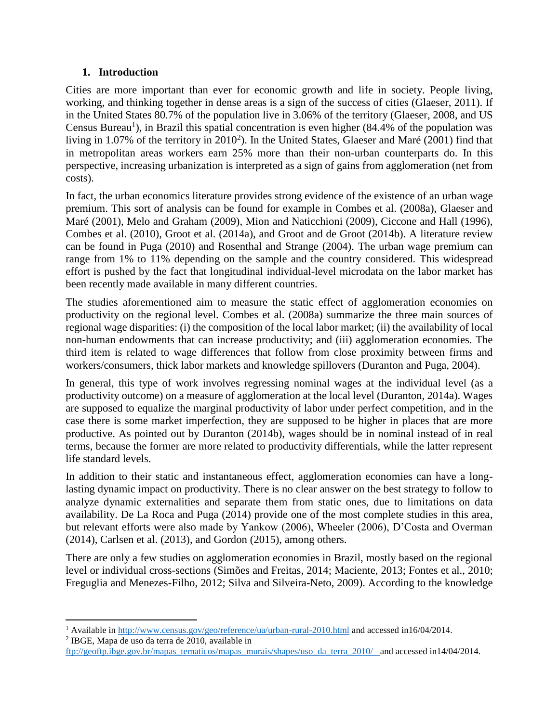# **1. Introduction**

Cities are more important than ever for economic growth and life in society. People living, working, and thinking together in dense areas is a sign of the success of cities (Glaeser, 2011). If in the United States 80.7% of the population live in 3.06% of the territory (Glaeser, 2008, and US Census Bureau<sup>1</sup>), in Brazil this spatial concentration is even higher  $(84.4\%$  of the population was living in 1.07% of the territory in 2010<sup>2</sup>). In the United States, Glaeser and Maré (2001) find that in metropolitan areas workers earn 25% more than their non-urban counterparts do. In this perspective, increasing urbanization is interpreted as a sign of gains from agglomeration (net from costs).

In fact, the urban economics literature provides strong evidence of the existence of an urban wage premium. This sort of analysis can be found for example in Combes et al. (2008a), Glaeser and Maré (2001), Melo and Graham (2009), Mion and Naticchioni (2009), Ciccone and Hall (1996), Combes et al. (2010), Groot et al. (2014a), and Groot and de Groot (2014b). A literature review can be found in Puga (2010) and Rosenthal and Strange (2004). The urban wage premium can range from 1% to 11% depending on the sample and the country considered. This widespread effort is pushed by the fact that longitudinal individual-level microdata on the labor market has been recently made available in many different countries.

The studies aforementioned aim to measure the static effect of agglomeration economies on productivity on the regional level. Combes et al. (2008a) summarize the three main sources of regional wage disparities: (i) the composition of the local labor market; (ii) the availability of local non-human endowments that can increase productivity; and (iii) agglomeration economies. The third item is related to wage differences that follow from close proximity between firms and workers/consumers, thick labor markets and knowledge spillovers (Duranton and Puga, 2004).

In general, this type of work involves regressing nominal wages at the individual level (as a productivity outcome) on a measure of agglomeration at the local level (Duranton, 2014a). Wages are supposed to equalize the marginal productivity of labor under perfect competition, and in the case there is some market imperfection, they are supposed to be higher in places that are more productive. As pointed out by Duranton (2014b), wages should be in nominal instead of in real terms, because the former are more related to productivity differentials, while the latter represent life standard levels.

In addition to their static and instantaneous effect, agglomeration economies can have a longlasting dynamic impact on productivity. There is no clear answer on the best strategy to follow to analyze dynamic externalities and separate them from static ones, due to limitations on data availability. De La Roca and Puga (2014) provide one of the most complete studies in this area, but relevant efforts were also made by Yankow (2006), Wheeler (2006), D'Costa and Overman (2014), Carlsen et al. (2013), and Gordon (2015), among others.

There are only a few studies on agglomeration economies in Brazil, mostly based on the regional level or individual cross-sections (Simões and Freitas, 2014; Maciente, 2013; Fontes et al., 2010; Freguglia and Menezes-Filho, 2012; Silva and Silveira-Neto, 2009). According to the knowledge

<sup>&</sup>lt;sup>1</sup> Available in<http://www.census.gov/geo/reference/ua/urban-rural-2010.html> and accessed in16/04/2014.

<sup>2</sup> IBGE, Mapa de uso da terra de 2010, available in

[ftp://geoftp.ibge.gov.br/mapas\\_tematicos/mapas\\_murais/shapes/uso\\_da\\_terra\\_2010/](ftp://geoftp.ibge.gov.br/mapas_tematicos/mapas_murais/shapes/uso_da_terra_2010/) and accessed in14/04/2014.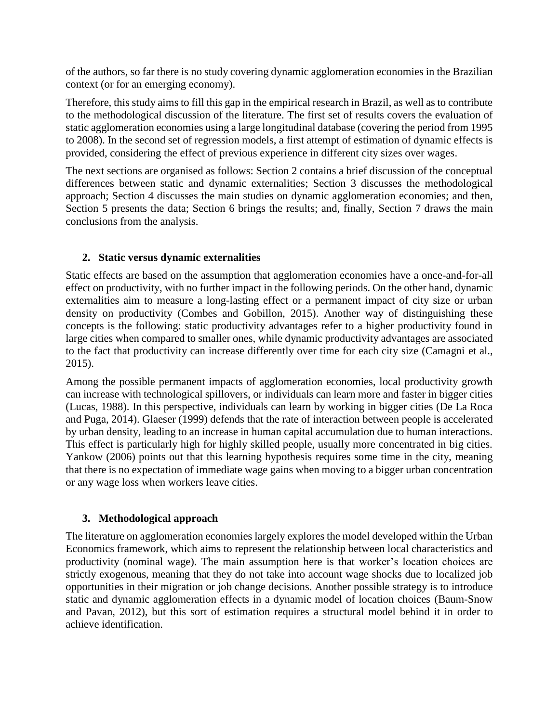of the authors, so far there is no study covering dynamic agglomeration economies in the Brazilian context (or for an emerging economy).

Therefore, this study aims to fill this gap in the empirical research in Brazil, as well as to contribute to the methodological discussion of the literature. The first set of results covers the evaluation of static agglomeration economies using a large longitudinal database (covering the period from 1995 to 2008). In the second set of regression models, a first attempt of estimation of dynamic effects is provided, considering the effect of previous experience in different city sizes over wages.

The next sections are organised as follows: Section 2 contains a brief discussion of the conceptual differences between static and dynamic externalities; Section 3 discusses the methodological approach; Section 4 discusses the main studies on dynamic agglomeration economies; and then, Section 5 presents the data; Section 6 brings the results; and, finally, Section 7 draws the main conclusions from the analysis.

# **2. Static versus dynamic externalities**

Static effects are based on the assumption that agglomeration economies have a once-and-for-all effect on productivity, with no further impact in the following periods. On the other hand, dynamic externalities aim to measure a long-lasting effect or a permanent impact of city size or urban density on productivity (Combes and Gobillon, 2015). Another way of distinguishing these concepts is the following: static productivity advantages refer to a higher productivity found in large cities when compared to smaller ones, while dynamic productivity advantages are associated to the fact that productivity can increase differently over time for each city size (Camagni et al., 2015).

Among the possible permanent impacts of agglomeration economies, local productivity growth can increase with technological spillovers, or individuals can learn more and faster in bigger cities (Lucas, 1988). In this perspective, individuals can learn by working in bigger cities (De La Roca and Puga, 2014). Glaeser (1999) defends that the rate of interaction between people is accelerated by urban density, leading to an increase in human capital accumulation due to human interactions. This effect is particularly high for highly skilled people, usually more concentrated in big cities. Yankow (2006) points out that this learning hypothesis requires some time in the city, meaning that there is no expectation of immediate wage gains when moving to a bigger urban concentration or any wage loss when workers leave cities.

# **3. Methodological approach**

The literature on agglomeration economies largely explores the model developed within the Urban Economics framework, which aims to represent the relationship between local characteristics and productivity (nominal wage). The main assumption here is that worker's location choices are strictly exogenous, meaning that they do not take into account wage shocks due to localized job opportunities in their migration or job change decisions. Another possible strategy is to introduce static and dynamic agglomeration effects in a dynamic model of location choices (Baum-Snow and Pavan, 2012), but this sort of estimation requires a structural model behind it in order to achieve identification.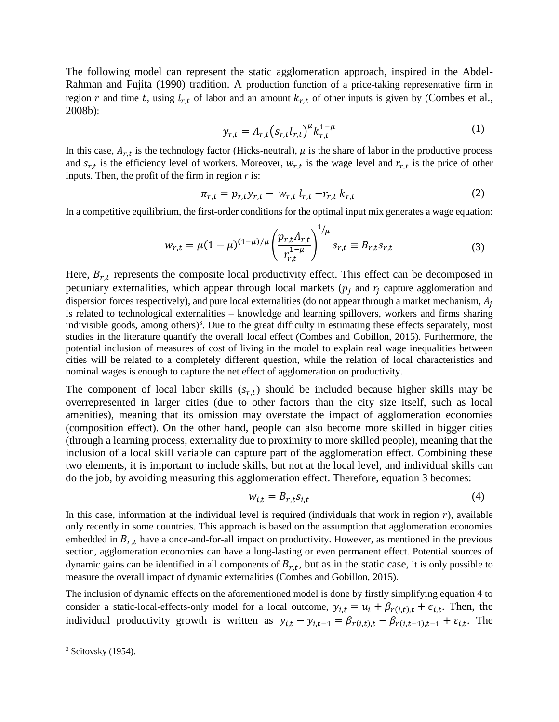The following model can represent the static agglomeration approach, inspired in the Abdel-Rahman and Fujita (1990) tradition. A production function of a price-taking representative firm in region r and time t, using  $l_{r,t}$  of labor and an amount  $k_{r,t}$  of other inputs is given by (Combes et al., 2008b):

$$
y_{r,t} = A_{r,t} (s_{r,t} l_{r,t})^{\mu} k_{r,t}^{1-\mu}
$$
 (1)

In this case,  $A_{r,t}$  is the technology factor (Hicks-neutral),  $\mu$  is the share of labor in the productive process and  $s_{r,t}$  is the efficiency level of workers. Moreover,  $w_{r,t}$  is the wage level and  $r_{r,t}$  is the price of other inputs. Then, the profit of the firm in region *r* is:

$$
\pi_{r,t} = p_{r,t} y_{r,t} - w_{r,t} l_{r,t} - r_{r,t} k_{r,t}
$$
 (2)

In a competitive equilibrium, the first-order conditions for the optimal input mix generates a wage equation:

$$
w_{r,t} = \mu (1 - \mu)^{(1 - \mu)/\mu} \left( \frac{p_{r,t} A_{r,t}}{r_{r,t}^{1 - \mu}} \right)^{1/\mu} s_{r,t} \equiv B_{r,t} s_{r,t}
$$
(3)

Here,  $B_{r,t}$  represents the composite local productivity effect. This effect can be decomposed in pecuniary externalities, which appear through local markets ( $p_i$  and  $r_i$  capture agglomeration and dispersion forces respectively), and pure local externalities (do not appear through a market mechanism,  $A_i$ is related to technological externalities – knowledge and learning spillovers, workers and firms sharing indivisible goods, among others)<sup>3</sup>. Due to the great difficulty in estimating these effects separately, most studies in the literature quantify the overall local effect (Combes and Gobillon, 2015). Furthermore, the potential inclusion of measures of cost of living in the model to explain real wage inequalities between cities will be related to a completely different question, while the relation of local characteristics and nominal wages is enough to capture the net effect of agglomeration on productivity.

The component of local labor skills  $(s_{r,t})$  should be included because higher skills may be overrepresented in larger cities (due to other factors than the city size itself, such as local amenities), meaning that its omission may overstate the impact of agglomeration economies (composition effect). On the other hand, people can also become more skilled in bigger cities (through a learning process, externality due to proximity to more skilled people), meaning that the inclusion of a local skill variable can capture part of the agglomeration effect. Combining these two elements, it is important to include skills, but not at the local level, and individual skills can do the job, by avoiding measuring this agglomeration effect. Therefore, equation 3 becomes:

$$
w_{i,t} = B_{r,t} s_{i,t} \tag{4}
$$

In this case, information at the individual level is required (individuals that work in region  $r$ ), available only recently in some countries. This approach is based on the assumption that agglomeration economies embedded in  $B_{r,t}$  have a once-and-for-all impact on productivity. However, as mentioned in the previous section, agglomeration economies can have a long-lasting or even permanent effect. Potential sources of dynamic gains can be identified in all components of  $B_{r,t}$ , but as in the static case, it is only possible to measure the overall impact of dynamic externalities (Combes and Gobillon, 2015).

The inclusion of dynamic effects on the aforementioned model is done by firstly simplifying equation 4 to consider a static-local-effects-only model for a local outcome,  $y_{i,t} = u_i + \beta_{r(i,t),t} + \epsilon_{i,t}$ . Then, the individual productivity growth is written as  $y_{i,t} - y_{i,t-1} = \beta_{r(i,t),t} - \beta_{r(i,t-1),t-1} + \varepsilon_{i,t}$ . The

 $3$  Scitovsky (1954).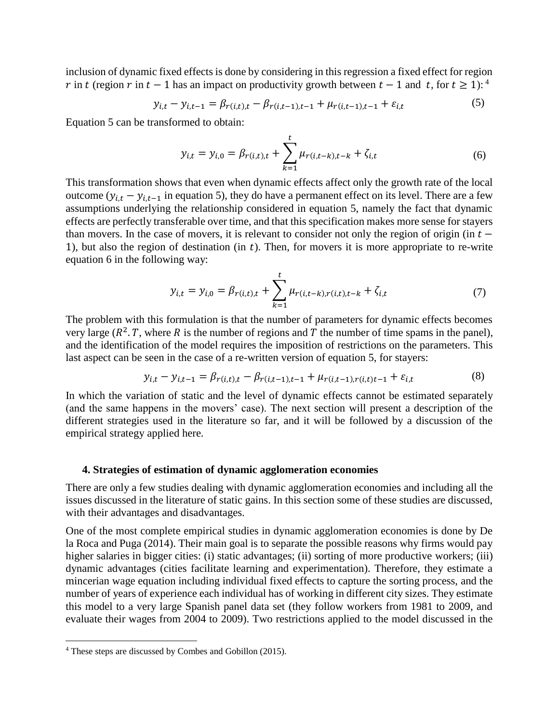inclusion of dynamic fixed effects is done by considering in this regression a fixed effect for region r in t (region r in  $t - 1$  has an impact on productivity growth between  $t - 1$  and t, for  $t \ge 1$ ):

$$
y_{i,t} - y_{i,t-1} = \beta_{r(i,t),t} - \beta_{r(i,t-1),t-1} + \mu_{r(i,t-1),t-1} + \varepsilon_{i,t}
$$
 (5)

Equation 5 can be transformed to obtain:

$$
y_{i,t} = y_{i,0} = \beta_{r(i,t),t} + \sum_{k=1}^{t} \mu_{r(i,t-k),t-k} + \zeta_{i,t}
$$
 (6)

This transformation shows that even when dynamic effects affect only the growth rate of the local outcome ( $y_{i,t} - y_{i,t-1}$  in equation 5), they do have a permanent effect on its level. There are a few assumptions underlying the relationship considered in equation 5, namely the fact that dynamic effects are perfectly transferable over time, and that this specification makes more sense for stayers than movers. In the case of movers, it is relevant to consider not only the region of origin (in  $t -$ 1), but also the region of destination (in  $t$ ). Then, for movers it is more appropriate to re-write equation 6 in the following way:

$$
y_{i,t} = y_{i,0} = \beta_{r(i,t),t} + \sum_{k=1}^{t} \mu_{r(i,t-k),r(i,t),t-k} + \zeta_{i,t}
$$
 (7)

The problem with this formulation is that the number of parameters for dynamic effects becomes very large ( $R^2$ , T, where R is the number of regions and T the number of time spams in the panel), and the identification of the model requires the imposition of restrictions on the parameters. This last aspect can be seen in the case of a re-written version of equation 5, for stayers:

$$
y_{i,t} - y_{i,t-1} = \beta_{r(i,t),t} - \beta_{r(i,t-1),t-1} + \mu_{r(i,t-1),r(i,t)+1} + \varepsilon_{i,t}
$$
(8)

In which the variation of static and the level of dynamic effects cannot be estimated separately (and the same happens in the movers' case). The next section will present a description of the different strategies used in the literature so far, and it will be followed by a discussion of the empirical strategy applied here.

#### **4. Strategies of estimation of dynamic agglomeration economies**

There are only a few studies dealing with dynamic agglomeration economies and including all the issues discussed in the literature of static gains. In this section some of these studies are discussed, with their advantages and disadvantages.

One of the most complete empirical studies in dynamic agglomeration economies is done by De la Roca and Puga (2014). Their main goal is to separate the possible reasons why firms would pay higher salaries in bigger cities: (i) static advantages; (ii) sorting of more productive workers; (iii) dynamic advantages (cities facilitate learning and experimentation). Therefore, they estimate a mincerian wage equation including individual fixed effects to capture the sorting process, and the number of years of experience each individual has of working in different city sizes. They estimate this model to a very large Spanish panel data set (they follow workers from 1981 to 2009, and evaluate their wages from 2004 to 2009). Two restrictions applied to the model discussed in the

<sup>4</sup> These steps are discussed by Combes and Gobillon (2015).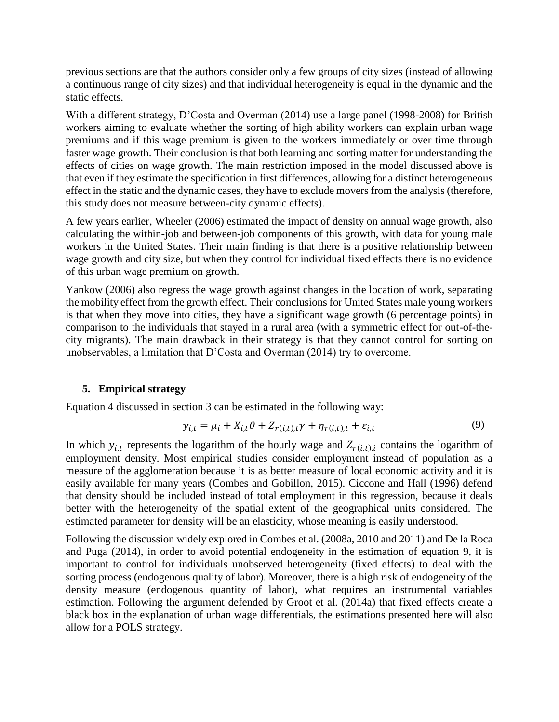previous sections are that the authors consider only a few groups of city sizes (instead of allowing a continuous range of city sizes) and that individual heterogeneity is equal in the dynamic and the static effects.

With a different strategy, D'Costa and Overman (2014) use a large panel (1998-2008) for British workers aiming to evaluate whether the sorting of high ability workers can explain urban wage premiums and if this wage premium is given to the workers immediately or over time through faster wage growth. Their conclusion is that both learning and sorting matter for understanding the effects of cities on wage growth. The main restriction imposed in the model discussed above is that even if they estimate the specification in first differences, allowing for a distinct heterogeneous effect in the static and the dynamic cases, they have to exclude movers from the analysis (therefore, this study does not measure between-city dynamic effects).

A few years earlier, Wheeler (2006) estimated the impact of density on annual wage growth, also calculating the within-job and between-job components of this growth, with data for young male workers in the United States. Their main finding is that there is a positive relationship between wage growth and city size, but when they control for individual fixed effects there is no evidence of this urban wage premium on growth.

Yankow (2006) also regress the wage growth against changes in the location of work, separating the mobility effect from the growth effect. Their conclusions for United States male young workers is that when they move into cities, they have a significant wage growth (6 percentage points) in comparison to the individuals that stayed in a rural area (with a symmetric effect for out-of-thecity migrants). The main drawback in their strategy is that they cannot control for sorting on unobservables, a limitation that D'Costa and Overman (2014) try to overcome.

## **5. Empirical strategy**

Equation 4 discussed in section 3 can be estimated in the following way:

$$
y_{i,t} = \mu_i + X_{i,t}\theta + Z_{r(i,t),t}\gamma + \eta_{r(i,t),t} + \varepsilon_{i,t}
$$
\n
$$
(9)
$$

In which  $y_{i,t}$  represents the logarithm of the hourly wage and  $Z_{r(i,t), i}$  contains the logarithm of employment density. Most empirical studies consider employment instead of population as a measure of the agglomeration because it is as better measure of local economic activity and it is easily available for many years (Combes and Gobillon, 2015). Ciccone and Hall (1996) defend that density should be included instead of total employment in this regression, because it deals better with the heterogeneity of the spatial extent of the geographical units considered. The estimated parameter for density will be an elasticity, whose meaning is easily understood.

Following the discussion widely explored in Combes et al. (2008a, 2010 and 2011) and De la Roca and Puga (2014), in order to avoid potential endogeneity in the estimation of equation 9, it is important to control for individuals unobserved heterogeneity (fixed effects) to deal with the sorting process (endogenous quality of labor). Moreover, there is a high risk of endogeneity of the density measure (endogenous quantity of labor), what requires an instrumental variables estimation. Following the argument defended by Groot et al. (2014a) that fixed effects create a black box in the explanation of urban wage differentials, the estimations presented here will also allow for a POLS strategy.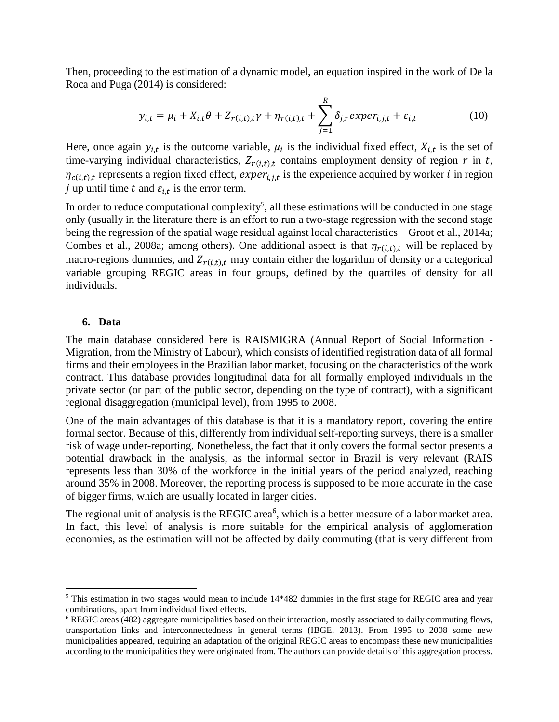Then, proceeding to the estimation of a dynamic model, an equation inspired in the work of De la Roca and Puga (2014) is considered:

$$
y_{i,t} = \mu_i + X_{i,t}\theta + Z_{r(i,t),t}\gamma + \eta_{r(i,t),t} + \sum_{j=1}^R \delta_{j,r} \exp(r_{i,j,t} + \varepsilon_{i,t})
$$
(10)

Here, once again  $y_{i,t}$  is the outcome variable,  $\mu_i$  is the individual fixed effect,  $X_{i,t}$  is the set of time-varying individual characteristics,  $Z_{r(i,t), t}$  contains employment density of region  $r$  in  $t$ ,  $\eta_{c(i,t),t}$  represents a region fixed effect,  $exper_{i,j,t}$  is the experience acquired by worker *i* in region j up until time t and  $\varepsilon_{i,t}$  is the error term.

In order to reduce computational complexity<sup>5</sup>, all these estimations will be conducted in one stage only (usually in the literature there is an effort to run a two-stage regression with the second stage being the regression of the spatial wage residual against local characteristics – Groot et al., 2014a; Combes et al., 2008a; among others). One additional aspect is that  $\eta_{r(i,t), t}$  will be replaced by macro-regions dummies, and  $Z_{r(i,t), t}$  may contain either the logarithm of density or a categorical variable grouping REGIC areas in four groups, defined by the quartiles of density for all individuals.

#### **6. Data**

l

The main database considered here is RAISMIGRA (Annual Report of Social Information - Migration, from the Ministry of Labour), which consists of identified registration data of all formal firms and their employees in the Brazilian labor market, focusing on the characteristics of the work contract. This database provides longitudinal data for all formally employed individuals in the private sector (or part of the public sector, depending on the type of contract), with a significant regional disaggregation (municipal level), from 1995 to 2008.

One of the main advantages of this database is that it is a mandatory report, covering the entire formal sector. Because of this, differently from individual self-reporting surveys, there is a smaller risk of wage under-reporting. Nonetheless, the fact that it only covers the formal sector presents a potential drawback in the analysis, as the informal sector in Brazil is very relevant (RAIS represents less than 30% of the workforce in the initial years of the period analyzed, reaching around 35% in 2008. Moreover, the reporting process is supposed to be more accurate in the case of bigger firms, which are usually located in larger cities.

The regional unit of analysis is the REGIC area<sup>6</sup>, which is a better measure of a labor market area. In fact, this level of analysis is more suitable for the empirical analysis of agglomeration economies, as the estimation will not be affected by daily commuting (that is very different from

<sup>&</sup>lt;sup>5</sup> This estimation in two stages would mean to include 14\*482 dummies in the first stage for REGIC area and year combinations, apart from individual fixed effects.

<sup>6</sup> REGIC areas (482) aggregate municipalities based on their interaction, mostly associated to daily commuting flows, transportation links and interconnectedness in general terms (IBGE, 2013). From 1995 to 2008 some new municipalities appeared, requiring an adaptation of the original REGIC areas to encompass these new municipalities according to the municipalities they were originated from. The authors can provide details of this aggregation process.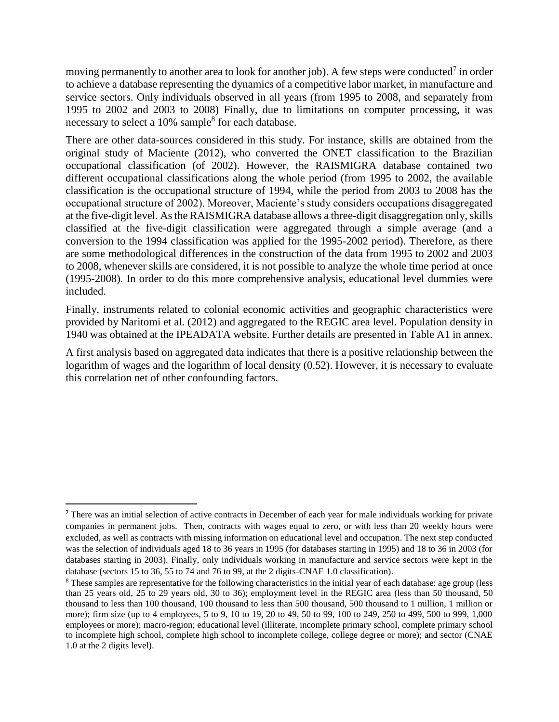moving permanently to another area to look for another job). A few steps were conducted<sup>7</sup> in order to achieve a database representing the dynamics of a competitive labor market, in manufacture and service sectors. Only individuals observed in all years (from 1995 to 2008, and separately from 1995 to 2002 and 2003 to 2008) Finally, due to limitations on computer processing, it was necessary to select a 10% sample<sup>8</sup> for each database.

There are other data-sources considered in this study. For instance, skills are obtained from the original study of Maciente (2012), who converted the ONET classification to the Brazilian occupational classification (of 2002). However, the RAISMIGRA database contained two different occupational classifications along the whole period (from 1995 to 2002, the available classification is the occupational structure of 1994, while the period from 2003 to 2008 has the occupational structure of 2002). Moreover, Maciente's study considers occupations disaggregated at the five-digit level. As the RAISMIGRA database allows a three-digit disaggregation only, skills classified at the five-digit classification were aggregated through a simple average (and a conversion to the 1994 classification was applied for the 1995-2002 period). Therefore, as there are some methodological differences in the construction of the data from 1995 to 2002 and 2003 to 2008, whenever skills are considered, it is not possible to analyze the whole time period at once (1995-2008). In order to do this more comprehensive analysis, educational level dummies were included.

Finally, instruments related to colonial economic activities and geographic characteristics were provided by Naritomi et al. (2012) and aggregated to the REGIC area level. Population density in 1940 was obtained at the IPEADATA website. Further details are presented in Table A1 in annex.

A first analysis based on aggregated data indicates that there is a positive relationship between the logarithm of wages and the logarithm of local density (0.52). However, it is necessary to evaluate this correlation net of other confounding factors.

<sup>7</sup> There was an initial selection of active contracts in December of each year for male individuals working for private companies in permanent jobs. Then, contracts with wages equal to zero, or with less than 20 weekly hours were excluded, as well as contracts with missing information on educational level and occupation. The next step conducted was the selection of individuals aged 18 to 36 years in 1995 (for databases starting in 1995) and 18 to 36 in 2003 (for databases starting in 2003). Finally, only individuals working in manufacture and service sectors were kept in the database (sectors 15 to 36, 55 to 74 and 76 to 99, at the 2 digits-CNAE 1.0 classification).

<sup>8</sup> These samples are representative for the following characteristics in the initial year of each database: age group (less than 25 years old, 25 to 29 years old, 30 to 36); employment level in the REGIC area (less than 50 thousand, 50 thousand to less than 100 thousand, 100 thousand to less than 500 thousand, 500 thousand to 1 million, 1 million or more); firm size (up to 4 employees, 5 to 9, 10 to 19, 20 to 49, 50 to 99, 100 to 249, 250 to 499, 500 to 999, 1,000 employees or more); macro-region; educational level (illiterate, incomplete primary school, complete primary school to incomplete high school, complete high school to incomplete college, college degree or more); and sector (CNAE 1.0 at the 2 digits level).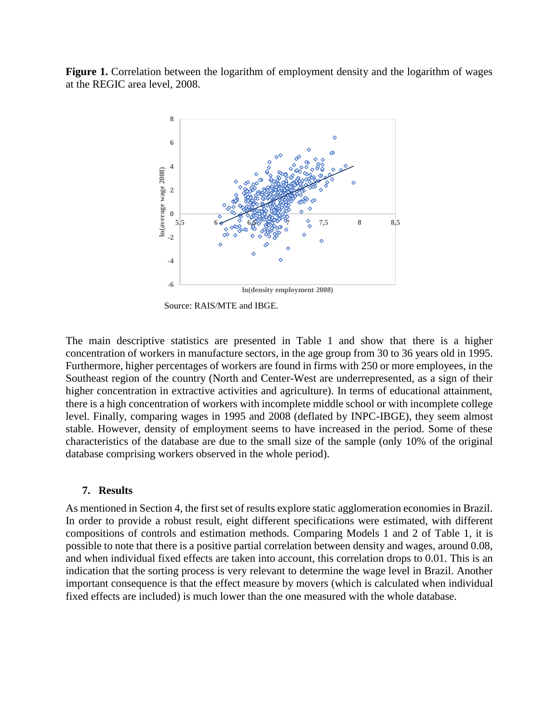**Figure 1.** Correlation between the logarithm of employment density and the logarithm of wages at the REGIC area level, 2008.



Source: RAIS/MTE and IBGE.

The main descriptive statistics are presented in Table 1 and show that there is a higher concentration of workers in manufacture sectors, in the age group from 30 to 36 years old in 1995. Furthermore, higher percentages of workers are found in firms with 250 or more employees, in the Southeast region of the country (North and Center-West are underrepresented, as a sign of their higher concentration in extractive activities and agriculture). In terms of educational attainment, there is a high concentration of workers with incomplete middle school or with incomplete college level. Finally, comparing wages in 1995 and 2008 (deflated by INPC-IBGE), they seem almost stable. However, density of employment seems to have increased in the period. Some of these characteristics of the database are due to the small size of the sample (only 10% of the original database comprising workers observed in the whole period).

#### **7. Results**

As mentioned in Section 4, the first set of results explore static agglomeration economies in Brazil. In order to provide a robust result, eight different specifications were estimated, with different compositions of controls and estimation methods. Comparing Models 1 and 2 of Table 1, it is possible to note that there is a positive partial correlation between density and wages, around 0.08, and when individual fixed effects are taken into account, this correlation drops to 0.01. This is an indication that the sorting process is very relevant to determine the wage level in Brazil. Another important consequence is that the effect measure by movers (which is calculated when individual fixed effects are included) is much lower than the one measured with the whole database.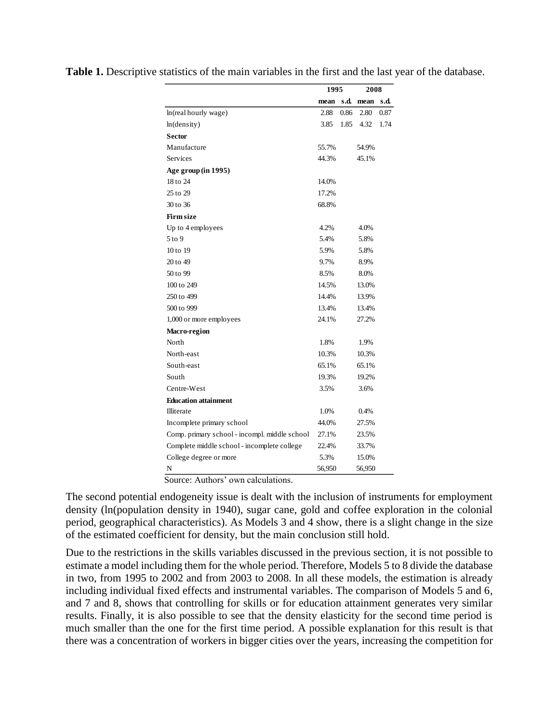|                                               | 1995   |      | 2008   |      |
|-----------------------------------------------|--------|------|--------|------|
|                                               | mean   | s.d. | mean   | s.d. |
| ln(real hourly wage)                          | 2.88   | 0.86 | 2.80   | 0.87 |
| ln(density)                                   | 3.85   | 1.85 | 4.32   | 1.74 |
| <b>Sector</b>                                 |        |      |        |      |
| Manufacture                                   | 55.7%  |      | 54.9%  |      |
| Services                                      | 44.3%  |      | 45.1%  |      |
| Age group (in 1995)                           |        |      |        |      |
| 18 to 24                                      | 14.0%  |      |        |      |
| 25 to 29                                      | 17.2%  |      |        |      |
| 30 to 36                                      | 68.8%  |      |        |      |
| <b>Firm size</b>                              |        |      |        |      |
| Up to 4 employees                             | 4.2%   |      | 4.0%   |      |
| 5 to 9                                        | 5.4%   |      | 5.8%   |      |
| 10 to 19                                      | 5.9%   |      | 5.8%   |      |
| 20 to 49                                      | 9.7%   |      | 8.9%   |      |
| 50 to 99                                      | 8.5%   |      | 8.0%   |      |
| 100 to 249                                    | 14.5%  |      | 13.0%  |      |
| 250 to 499                                    | 14.4%  |      | 13.9%  |      |
| 500 to 999                                    | 13.4%  |      | 13.4%  |      |
| 1,000 or more employees                       | 24.1%  |      | 27.2%  |      |
| Macro-region                                  |        |      |        |      |
| North                                         | 1.8%   |      | 1.9%   |      |
| North-east                                    | 10.3%  |      | 10.3%  |      |
| South-east                                    | 65.1%  |      | 65.1%  |      |
| South                                         | 19.3%  |      | 19.2%  |      |
| Centre-West                                   | 3.5%   |      | 3.6%   |      |
| <b>Education attainment</b>                   |        |      |        |      |
| Illiterate                                    | 1.0%   |      | 0.4%   |      |
| Incomplete primary school                     | 44.0%  |      | 27.5%  |      |
| Comp. primary school - incompl. middle school | 27.1%  |      | 23.5%  |      |
| Complete middle school - incomplete college   | 22.4%  |      | 33.7%  |      |
| College degree or more                        | 5.3%   |      | 15.0%  |      |
| N<br>$\cdot$<br>Ŧ.<br>f,<br>f.<br>٠           | 56,950 |      | 56,950 |      |

**Table 1.** Descriptive statistics of the main variables in the first and the last year of the database.

Source: Authors' own calculations.

The second potential endogeneity issue is dealt with the inclusion of instruments for employment density (ln(population density in 1940), sugar cane, gold and coffee exploration in the colonial period, geographical characteristics). As Models 3 and 4 show, there is a slight change in the size of the estimated coefficient for density, but the main conclusion still hold.

Due to the restrictions in the skills variables discussed in the previous section, it is not possible to estimate a model including them for the whole period. Therefore, Models 5 to 8 divide the database in two, from 1995 to 2002 and from 2003 to 2008. In all these models, the estimation is already including individual fixed effects and instrumental variables. The comparison of Models 5 and 6, and 7 and 8, shows that controlling for skills or for education attainment generates very similar results. Finally, it is also possible to see that the density elasticity for the second time period is much smaller than the one for the first time period. A possible explanation for this result is that there was a concentration of workers in bigger cities over the years, increasing the competition for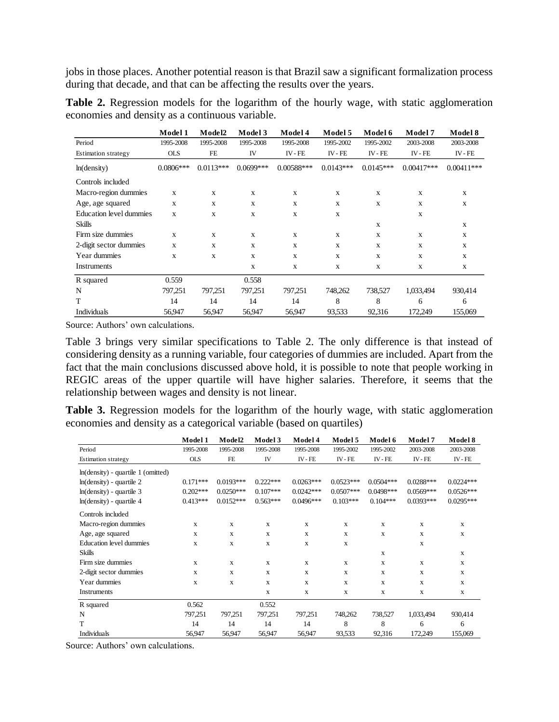jobs in those places. Another potential reason is that Brazil saw a significant formalization process during that decade, and that can be affecting the results over the years.

|                            | Model 1     | Model2      | Model 3     | Model 4      | Model 5     | Model 6     | Model 7      | Model 8      |
|----------------------------|-------------|-------------|-------------|--------------|-------------|-------------|--------------|--------------|
| Period                     | 1995-2008   | 1995-2008   | 1995-2008   | 1995-2008    | 1995-2002   | 1995-2002   | 2003-2008    | 2003-2008    |
| <b>Estimation strategy</b> | <b>OLS</b>  | FE          | IV          | IV-FE        | IV-FE       | IV-FE       | IV-FE        | IV-FE        |
| ln(density)                | $0.0806***$ | $0.0113***$ | $0.0699***$ | $0.00588***$ | $0.0143***$ | $0.0145***$ | $0.00417***$ | $0.00411***$ |
| Controls included          |             |             |             |              |             |             |              |              |
| Macro-region dummies       | X           | X           | X           | X            | X           | X           | X            | X            |
| Age, age squared           | X           | X           | X           | $\mathbf X$  | X           | X           | X            | X            |
| Education level dummies    | X           | X           | X           | X            | X           |             | X            |              |
| Skills                     |             |             |             |              |             | X           |              | X            |
| Firm size dummies          | X           | X           | X           | X            | X           | X           | X            | X            |
| 2-digit sector dummies     | $\mathbf x$ | $\mathbf x$ | $\mathbf x$ | X            | X           | X           | X            | X            |
| Year dummies               | X           | X           | X           | X            | X           | X           | X            | X            |
| Instruments                |             |             | X           | X            | X           | X           | X            | X            |
| R squared                  | 0.559       |             | 0.558       |              |             |             |              |              |
| N                          | 797,251     | 797,251     | 797,251     | 797,251      | 748,262     | 738,527     | 1,033,494    | 930,414      |
| T                          | 14          | 14          | 14          | 14           | 8           | 8           | 6            | 6            |
| <b>Individuals</b>         | 56,947      | 56,947      | 56,947      | 56,947       | 93,533      | 92,316      | 172,249      | 155,069      |

Table 2. Regression models for the logarithm of the hourly wage, with static agglomeration economies and density as a continuous variable.

Source: Authors' own calculations.

Table 3 brings very similar specifications to Table 2. The only difference is that instead of considering density as a running variable, four categories of dummies are included. Apart from the fact that the main conclusions discussed above hold, it is possible to note that people working in REGIC areas of the upper quartile will have higher salaries. Therefore, it seems that the relationship between wages and density is not linear.

Table 3. Regression models for the logarithm of the hourly wage, with static agglomeration economies and density as a categorical variable (based on quartiles)

|                                      | Model 1      | Model2      | Model 3      | Model 4     | Model 5      | Model 6      | Model 7     | Model 8      |
|--------------------------------------|--------------|-------------|--------------|-------------|--------------|--------------|-------------|--------------|
| Period                               | 1995-2008    | 1995-2008   | 1995-2008    | 1995-2008   | 1995-2002    | 1995-2002    | 2003-2008   | 2003-2008    |
| Estimation strategy                  | <b>OLS</b>   | <b>FE</b>   | IV           | $IV - FE$   | $IV - FE$    | $IV$ - $FE$  | IV-FE       | $IV$ - $FE$  |
| $ln(density)$ - quartile 1 (omitted) |              |             |              |             |              |              |             |              |
| $ln(density)$ - quartile 2           | $0.171***$   | $0.0193***$ | $0.222***$   | $0.0263***$ | $0.0523***$  | $0.0504***$  | $0.0288***$ | $0.0224***$  |
| $ln(density)$ - quartile 3           | $0.202***$   | $0.0250***$ | $0.107***$   | $0.0242***$ | $0.0507***$  | $0.0498***$  | $0.0569***$ | $0.0526***$  |
| $ln(density)$ - quartile 4           | $0.413***$   | $0.0152***$ | $0.563***$   | $0.0496***$ | $0.103***$   | $0.104***$   | $0.0393***$ | $0.0295***$  |
| Controls included                    |              |             |              |             |              |              |             |              |
| Macro-region dummies                 | X            | $\mathbf x$ | $\mathbf{x}$ | X           | $\mathbf x$  | $\mathbf{x}$ | X           | $\mathbf{x}$ |
| Age, age squared                     | X            | X           | X            | X           | X            | X            | X           | $\mathbf{x}$ |
| Education level dummies              | X            | X           | X            | X           | X            |              | X           |              |
| <b>Skills</b>                        |              |             |              |             |              | $\mathbf x$  |             | $\mathbf{x}$ |
| Firm size dummies                    | $\mathbf{x}$ | $\mathbf x$ | $\mathbf{x}$ | X           | $\mathbf{x}$ | $\mathbf{x}$ | X           | $\mathbf{x}$ |
| 2-digit sector dummies               | X            | $\mathbf x$ | $\mathbf{x}$ | X           | X            | $\mathbf x$  | X           | $\mathbf{x}$ |
| Year dummies                         | X            | X           | $\mathbf{x}$ | X           | X            | $\mathbf x$  | X           | $\mathbf{x}$ |
| Instruments                          |              |             | $\mathbf{X}$ | X           | X            | $\mathbf x$  | X           | $\mathbf{X}$ |
| R squared                            | 0.562        |             | 0.552        |             |              |              |             |              |
| N                                    | 797,251      | 797,251     | 797,251      | 797,251     | 748,262      | 738,527      | 1,033,494   | 930,414      |
| T                                    | 14           | 14          | 14           | 14          | 8            | 8            | 6           | 6            |
| Individuals                          | 56,947       | 56,947      | 56,947       | 56,947      | 93,533       | 92,316       | 172,249     | 155,069      |

Source: Authors' own calculations.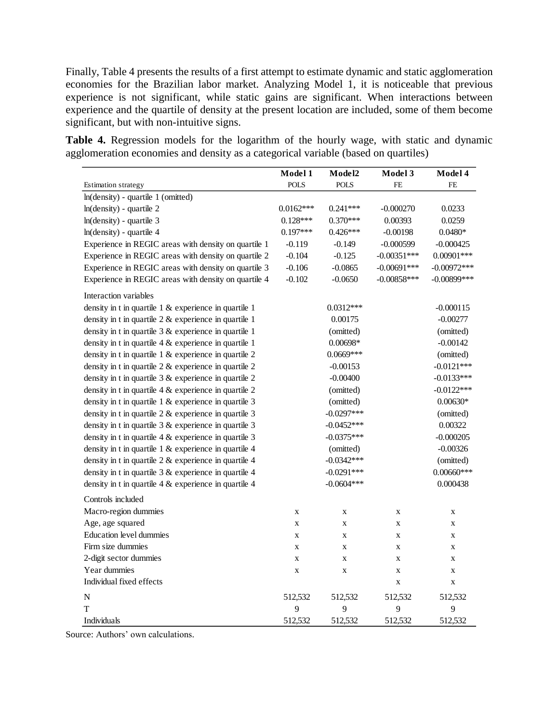Finally, Table 4 presents the results of a first attempt to estimate dynamic and static agglomeration economies for the Brazilian labor market. Analyzing Model 1, it is noticeable that previous experience is not significant, while static gains are significant. When interactions between experience and the quartile of density at the present location are included, some of them become significant, but with non-intuitive signs.

**Table 4.** Regression models for the logarithm of the hourly wage, with static and dynamic agglomeration economies and density as a categorical variable (based on quartiles)

|                                                            | Model 1     | Model2       | Model 3       | Model 4        |
|------------------------------------------------------------|-------------|--------------|---------------|----------------|
| Estimation strategy                                        | <b>POLS</b> | <b>POLS</b>  | <b>FE</b>     | <b>FE</b>      |
| In(density) - quartile 1 (omitted)                         |             |              |               |                |
| $ln(density)$ - quartile 2                                 | $0.0162***$ | $0.241***$   | $-0.000270$   | 0.0233         |
| $ln(density)$ - quartile 3                                 | $0.128***$  | $0.370***$   | 0.00393       | 0.0259         |
| In(density) - quartile 4                                   | $0.197***$  | $0.426***$   | $-0.00198$    | $0.0480*$      |
| Experience in REGIC areas with density on quartile 1       | $-0.119$    | $-0.149$     | $-0.000599$   | $-0.000425$    |
| Experience in REGIC areas with density on quartile 2       | $-0.104$    | $-0.125$     | $-0.00351***$ | $0.00901***$   |
| Experience in REGIC areas with density on quartile 3       | $-0.106$    | $-0.0865$    | $-0.00691***$ | $-0.00972***$  |
| Experience in REGIC areas with density on quartile 4       | $-0.102$    | $-0.0650$    | $-0.00858***$ | $-0.00899$ *** |
| Interaction variables                                      |             |              |               |                |
| density in t in quartile 1 & experience in quartile 1      |             | $0.0312***$  |               | $-0.000115$    |
| density in t in quartile $2 \&$ experience in quartile 1   |             | 0.00175      |               | $-0.00277$     |
| density in t in quartile $3 &$ experience in quartile 1    |             | (omitted)    |               | (omitted)      |
| density in t in quartile $4 &$ experience in quartile 1    |             | $0.00698*$   |               | $-0.00142$     |
| density in t in quartile $1 \&$ experience in quartile $2$ |             | $0.0669***$  |               | (omitted)      |
| density in t in quartile $2 \&$ experience in quartile $2$ |             | $-0.00153$   |               | $-0.0121***$   |
| density in t in quartile $3 &$ experience in quartile $2$  |             | $-0.00400$   |               | $-0.0133***$   |
| density in t in quartile $4 \&$ experience in quartile 2   |             | (omitted)    |               | $-0.0122***$   |
| density in t in quartile $1 &$ experience in quartile 3    |             | (omitted)    |               | $0.00630*$     |
| density in t in quartile $2 \&$ experience in quartile $3$ |             | $-0.0297***$ |               | (omitted)      |
| density in t in quartile $3 &$ experience in quartile $3$  |             | $-0.0452***$ |               | 0.00322        |
| density in t in quartile $4 \&$ experience in quartile 3   |             | $-0.0375***$ |               | $-0.000205$    |
| density in t in quartile $1 \&$ experience in quartile $4$ |             | (omitted)    |               | $-0.00326$     |
| density in t in quartile $2 &$ experience in quartile $4$  |             | $-0.0342***$ |               | (omitted)      |
| density in t in quartile $3 &$ experience in quartile $4$  |             | $-0.0291***$ |               | $0.00660***$   |
| density in t in quartile $4 \&$ experience in quartile $4$ |             | $-0.0604***$ |               | 0.000438       |
| Controls included                                          |             |              |               |                |
| Macro-region dummies                                       | $\mathbf X$ | X            | X             | $\mathbf X$    |
| Age, age squared                                           | $\mathbf X$ | $\mathbf X$  | $\mathbf X$   | X              |
| <b>Education level dummies</b>                             | $\mathbf X$ | $\mathbf X$  | $\mathbf X$   | X              |
| Firm size dummies                                          | $\mathbf X$ | $\mathbf X$  | $\mathbf X$   | X              |
| 2-digit sector dummies                                     | $\mathbf X$ | $\mathbf X$  | X             | X              |
| Year dummies                                               | $\mathbf X$ | $\mathbf X$  | $\mathbf X$   | $\mathbf X$    |
| Individual fixed effects                                   |             |              | X             | $\mathbf X$    |
| ${\bf N}$                                                  | 512,532     | 512,532      | 512,532       | 512,532        |
| T                                                          | 9           | 9            | 9             | 9              |
| Individuals                                                | 512,532     | 512,532      | 512,532       | 512,532        |

Source: Authors' own calculations.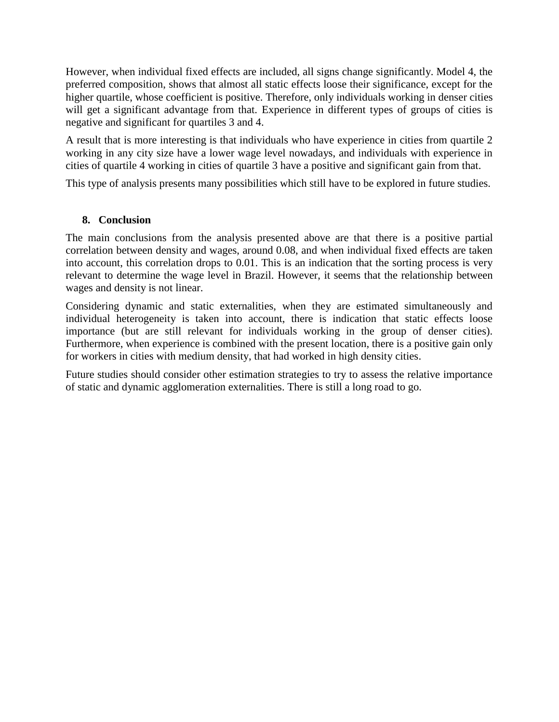However, when individual fixed effects are included, all signs change significantly. Model 4, the preferred composition, shows that almost all static effects loose their significance, except for the higher quartile, whose coefficient is positive. Therefore, only individuals working in denser cities will get a significant advantage from that. Experience in different types of groups of cities is negative and significant for quartiles 3 and 4.

A result that is more interesting is that individuals who have experience in cities from quartile 2 working in any city size have a lower wage level nowadays, and individuals with experience in cities of quartile 4 working in cities of quartile 3 have a positive and significant gain from that.

This type of analysis presents many possibilities which still have to be explored in future studies.

## **8. Conclusion**

The main conclusions from the analysis presented above are that there is a positive partial correlation between density and wages, around 0.08, and when individual fixed effects are taken into account, this correlation drops to 0.01. This is an indication that the sorting process is very relevant to determine the wage level in Brazil. However, it seems that the relationship between wages and density is not linear.

Considering dynamic and static externalities, when they are estimated simultaneously and individual heterogeneity is taken into account, there is indication that static effects loose importance (but are still relevant for individuals working in the group of denser cities). Furthermore, when experience is combined with the present location, there is a positive gain only for workers in cities with medium density, that had worked in high density cities.

Future studies should consider other estimation strategies to try to assess the relative importance of static and dynamic agglomeration externalities. There is still a long road to go.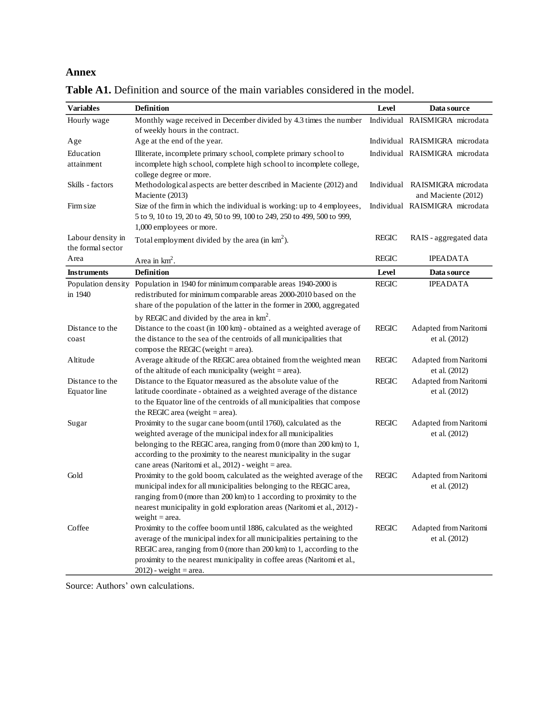# **Annex**

| <b>Variables</b>   | <b>Definition</b>                                                                                                                               | Level        | Data source                                           |
|--------------------|-------------------------------------------------------------------------------------------------------------------------------------------------|--------------|-------------------------------------------------------|
| Hourly wage        | Monthly wage received in December divided by 4.3 times the number                                                                               |              | Individual RAISMIGRA microdata                        |
|                    | of weekly hours in the contract.                                                                                                                |              |                                                       |
| Age                | Age at the end of the year.                                                                                                                     |              | Individual RAISMIGRA microdata                        |
| Education          | Illiterate, incomplete primary school, complete primary school to                                                                               |              | Individual RAISMIGRA microdata                        |
| attainment         | incomplete high school, complete high school to incomplete college,                                                                             |              |                                                       |
|                    | college degree or more.                                                                                                                         |              |                                                       |
| Skills - factors   | Methodological aspects are better described in Maciente (2012) and<br>Maciente (2013)                                                           |              | Individual RAISMIGRA microdata<br>and Maciente (2012) |
| Firm size          | Size of the firm in which the individual is working: up to 4 employees,                                                                         |              | Individual RAISMIGRA microdata                        |
|                    | 5 to 9, 10 to 19, 20 to 49, 50 to 99, 100 to 249, 250 to 499, 500 to 999,                                                                       |              |                                                       |
|                    | 1,000 employees or more.                                                                                                                        |              |                                                       |
| Labour density in  | Total employment divided by the area (in km <sup>2</sup> ).                                                                                     | <b>REGIC</b> | RAIS - aggregated data                                |
| the formal sector  |                                                                                                                                                 |              |                                                       |
| Area               | Area in $km^2$ .                                                                                                                                | <b>REGIC</b> | <b>IPEADATA</b>                                       |
| <b>Instruments</b> | <b>Definition</b>                                                                                                                               | Level        | Data source                                           |
|                    | Population density Population in 1940 for minimum comparable areas 1940-2000 is                                                                 | <b>REGIC</b> | <b>IPEADATA</b>                                       |
| in 1940            | redistributed for minimum comparable areas 2000-2010 based on the                                                                               |              |                                                       |
|                    | share of the population of the latter in the former in 2000, aggregated                                                                         |              |                                                       |
|                    | by REGIC and divided by the area in $km2$ .                                                                                                     |              |                                                       |
| Distance to the    | Distance to the coast (in 100 km) - obtained as a weighted average of                                                                           | <b>REGIC</b> | Adapted from Naritomi                                 |
| coast              | the distance to the sea of the centroids of all municipalities that                                                                             |              | et al. (2012)                                         |
|                    | compose the REGIC (weight $=$ area).                                                                                                            |              |                                                       |
| Altitude           | Average altitude of the REGIC area obtained from the weighted mean                                                                              | <b>REGIC</b> | Adapted from Naritomi                                 |
|                    | of the altitude of each municipality (weight $=$ area).                                                                                         |              | et al. (2012)                                         |
| Distance to the    | Distance to the Equator measured as the absolute value of the                                                                                   | <b>REGIC</b> | Adapted from Naritomi                                 |
| Equator line       | latitude coordinate - obtained as a weighted average of the distance<br>to the Equator line of the centroids of all municipalities that compose |              | et al. (2012)                                         |
|                    | the REGIC area (weight $=$ area).                                                                                                               |              |                                                       |
| Sugar              | Proximity to the sugar cane boom (until 1760), calculated as the                                                                                | <b>REGIC</b> | Adapted from Naritomi                                 |
|                    | weighted average of the municipal index for all municipalities                                                                                  |              | et al. (2012)                                         |
|                    | belonging to the REGIC area, ranging from 0 (more than 200 km) to 1,                                                                            |              |                                                       |
|                    | according to the proximity to the nearest municipality in the sugar                                                                             |              |                                                       |
|                    | cane areas (Naritomi et al., 2012) - weight = area.                                                                                             |              |                                                       |
| Gold               | Proximity to the gold boom, calculated as the weighted average of the                                                                           | <b>REGIC</b> | Adapted from Naritomi                                 |
|                    | municipal index for all municipalities belonging to the REGIC area,                                                                             |              | et al. (2012)                                         |
|                    | ranging from $0$ (more than 200 km) to 1 according to proximity to the                                                                          |              |                                                       |
|                    | nearest municipality in gold exploration areas (Naritomi et al., 2012) -                                                                        |              |                                                       |
|                    | weight $=$ area.                                                                                                                                |              |                                                       |
| Coffee             | Proximity to the coffee boom until 1886, calculated as the weighted                                                                             | <b>REGIC</b> | Adapted from Naritomi                                 |
|                    | average of the municipal index for all municipalities pertaining to the<br>REGIC area, ranging from 0 (more than 200 km) to 1, according to the |              | et al. (2012)                                         |
|                    | proximity to the nearest municipality in coffee areas (Naritomi et al.,                                                                         |              |                                                       |
|                    | $2012$ - weight = area.                                                                                                                         |              |                                                       |

Table A1. Definition and source of the main variables considered in the model.

Source: Authors' own calculations.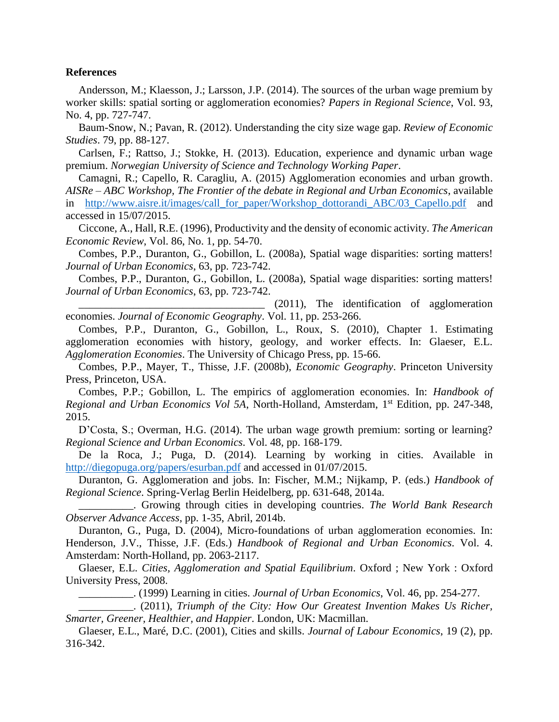#### **References**

Andersson, M.; Klaesson, J.; Larsson, J.P. (2014). The sources of the urban wage premium by worker skills: spatial sorting or agglomeration economies? *Papers in Regional Science*, Vol. 93, No. 4, pp. 727-747.

Baum-Snow, N.; Pavan, R. (2012). Understanding the city size wage gap. *Review of Economic Studies*. 79, pp. 88-127.

Carlsen, F.; Rattso, J.; Stokke, H. (2013). Education, experience and dynamic urban wage premium. *Norwegian University of Science and Technology Working Paper*.

Camagni, R.; Capello, R. Caragliu, A. (2015) Agglomeration economies and urban growth. *AISRe – ABC Workshop, The Frontier of the debate in Regional and Urban Economics*, available in [http://www.aisre.it/images/call\\_for\\_paper/Workshop\\_dottorandi\\_ABC/03\\_Capello.pdf](http://www.aisre.it/images/call_for_paper/Workshop_dottorandi_ABC/03_Capello.pdf) and accessed in 15/07/2015.

Ciccone, A., Hall, R.E. (1996), Productivity and the density of economic activity. *The American Economic Review*, Vol. 86, No. 1, pp. 54-70.

Combes, P.P., Duranton, G., Gobillon, L. (2008a), Spatial wage disparities: sorting matters! *Journal of Urban Economics*, 63, pp. 723-742.

Combes, P.P., Duranton, G., Gobillon, L. (2008a), Spatial wage disparities: sorting matters! *Journal of Urban Economics*, 63, pp. 723-742.

 $(2011)$ , The identification of agglomeration economies. *Journal of Economic Geography*. Vol. 11, pp. 253-266.

Combes, P.P., Duranton, G., Gobillon, L., Roux, S. (2010), Chapter 1. Estimating agglomeration economies with history, geology, and worker effects. In: Glaeser, E.L. *Agglomeration Economies*. The University of Chicago Press, pp. 15-66.

Combes, P.P., Mayer, T., Thisse, J.F. (2008b), *Economic Geography*. Princeton University Press, Princeton, USA.

Combes, P.P.; Gobillon, L. The empirics of agglomeration economies. In: *Handbook of Regional and Urban Economics Vol 5A*, North-Holland, Amsterdam, 1st Edition, pp. 247-348, 2015.

D'Costa, S.; Overman, H.G. (2014). The urban wage growth premium: sorting or learning? *Regional Science and Urban Economics*. Vol. 48, pp. 168-179.

De la Roca, J.; Puga, D. (2014). Learning by working in cities. Available in <http://diegopuga.org/papers/esurban.pdf> and accessed in 01/07/2015.

Duranton, G. Agglomeration and jobs. In: Fischer, M.M.; Nijkamp, P. (eds.) *Handbook of Regional Science*. Spring-Verlag Berlin Heidelberg, pp. 631-648, 2014a.

\_\_\_\_\_\_\_\_\_\_. Growing through cities in developing countries. *The World Bank Research Observer Advance Access*, pp. 1-35, Abril, 2014b.

Duranton, G., Puga, D. (2004), Micro-foundations of urban agglomeration economies. In: Henderson, J.V., Thisse, J.F. (Eds.) *Handbook of Regional and Urban Economics*. Vol. 4. Amsterdam: North-Holland, pp. 2063-2117.

Glaeser, E.L. *Cities, Agglomeration and Spatial Equilibrium*. Oxford ; New York : Oxford University Press, 2008.

\_\_\_\_\_\_\_\_\_\_. (1999) Learning in cities. *Journal of Urban Economics*, Vol. 46, pp. 254-277.

\_\_\_\_\_\_\_\_\_\_. (2011), *Triumph of the City: How Our Greatest Invention Makes Us Richer, Smarter, Greener, Healthier, and Happier*. London, UK: Macmillan.

Glaeser, E.L., Maré, D.C. (2001), Cities and skills. *Journal of Labour Economics*, 19 (2), pp. 316-342.